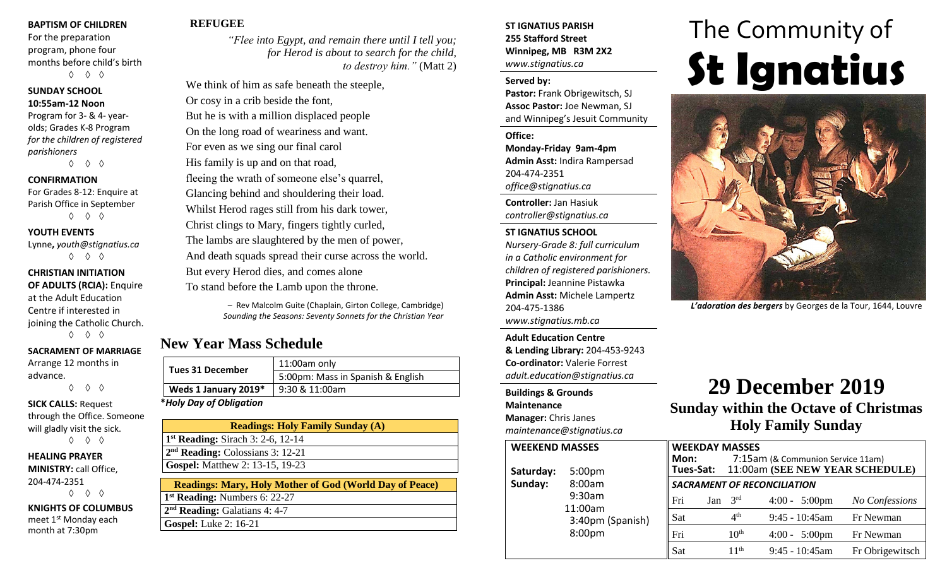#### **BAPTISM OF CHILDREN**

For the preparation program, phone four months before child's birth ◊ ◊ ◊

#### **SUNDAY SCHOOL 10:55am-12 Noon**

Program for 3- & 4- yearolds; Grades K-8 Program *for the children of registered parishioners*

◊ ◊ ◊

#### **CONFIRMATION**

For Grades 8-12: Enquire at Parish Office in September ◊ ◊ ◊

#### **YOUTH EVENTS**

Lynne**,** *youth@stignatius.ca* ◊ ◊ ◊

#### **CHRISTIAN INITIATION OF ADULTS (RCIA):** Enquire at the Adult Education

Centre if interested in joining the Catholic Church.

# ◊ ◊ ◊

# **SACRAMENT OF MARRIAGE**

Arrange 12 months in advance. ◊ ◊ ◊

**SICK CALLS:** Request through the Office. Someone will gladly visit the sick.

◊ ◊ ◊

#### **HEALING PRAYER MINISTRY:** call Office, 204-474-2351 ◊ ◊ ◊

**KNIGHTS OF COLUMBUS** meet 1st Monday each month at 7:30pm

# **REFUGEE**

*"Flee into Egypt, and remain there until I tell you; for Herod is about to search for the child, to destroy him."* (Matt 2)

We think of him as safe beneath the steeple, Or cosy in a crib beside the font, But he is with a million displaced people On the long road of weariness and want. For even as we sing our final carol His family is up and on that road, fleeing the wrath of someone else's quarrel, Glancing behind and shouldering their load. Whilst Herod rages still from his dark tower, Christ clings to Mary, fingers tightly curled, The lambs are slaughtered by the men of power, And death squads spread their curse across the world. But every Herod dies, and comes alone To stand before the Lamb upon the throne.

> – Rev Malcolm Guite (Chaplain, Girton College, Cambridge) *Sounding the Seasons: Seventy Sonnets for the Christian Year*

# **New Year Mass Schedule**

| <b>Tues 31 December</b> | 11:00am only                      |  |  |  |
|-------------------------|-----------------------------------|--|--|--|
|                         | 5:00pm: Mass in Spanish & English |  |  |  |
| Weds 1 January 2019*    | $9:30 & 11:00$ am                 |  |  |  |
| $*$                     |                                   |  |  |  |

**\****Holy Day of Obligation*

| <b>Readings: Holy Family Sunday (A)</b>      |  |  |  |  |  |  |  |  |  |  |
|----------------------------------------------|--|--|--|--|--|--|--|--|--|--|
| $1st$ Reading: Sirach 3: 2-6, 12-14          |  |  |  |  |  |  |  |  |  |  |
| 2 <sup>nd</sup> Reading: Colossians 3: 12-21 |  |  |  |  |  |  |  |  |  |  |
| <b>Gospel:</b> Matthew 2: 13-15, 19-23       |  |  |  |  |  |  |  |  |  |  |
|                                              |  |  |  |  |  |  |  |  |  |  |
| $0.01 \times 10^{-1}$                        |  |  |  |  |  |  |  |  |  |  |

## **Readings: Mary, Holy Mother of God (World Day of Peace) 1 st Reading:** Numbers 6: 22-27 **2 nd Reading:** Galatians 4: 4-7 **Gospel:** Luke 2: 16-21

## **ST IGNATIUS PARISH 255 Stafford Street Winnipeg, MB R3M 2X2** *www.stignatius.ca*

#### **Served by:**

**Pastor:** Frank Obrigewitsch, SJ **Assoc Pastor:** Joe Newman, SJ and Winnipeg's Jesuit Community

**Office: Monday-Friday 9am-4pm Admin Asst:** Indira Rampersad 204-474-2351 *office@stignatius.ca*

**Controller:** Jan Hasiuk *controller@stignatius.ca*

#### **ST IGNATIUS SCHOOL**

*Nursery-Grade 8: full curriculum in a Catholic environment for children of registered parishioners.* **Principal:** Jeannine Pistawka **Admin Asst:** Michele Lampertz 204-475-1386 *www.stignatius.mb.ca*

**Adult Education Centre & Lending Library:** 204-453-9243 **Co-ordinator:** Valerie Forrest *adult.education@stignatius.ca*

## **Buildings & Grounds Maintenance Manager:** Chris Janes *maintenance@stignatius.ca*

**WEEKEN** Saturda<sup>®</sup> Sunday: 9:30am 11:00am 3:40pm (Spanish) 8:00pm

# The Community of **St Ignatius**



*L'adoration des bergers* by Georges de la Tour, 1644, Louvre

# **29 December 2019**

**Sunday within the Octave of Christmas Holy Family Sunday**

|    | <b>JD MASSES</b>                                          |                                    |           | <b>WEEKDAY MASSES</b> |                                           |                 |  |
|----|-----------------------------------------------------------|------------------------------------|-----------|-----------------------|-------------------------------------------|-----------------|--|
|    |                                                           | Mon:                               |           |                       | 7:15am (& Communion Service 11am)         |                 |  |
| V: | 5:00 <sub>pm</sub>                                        |                                    |           |                       | Tues-Sat: 11:00am (SEE NEW YEAR SCHEDULE) |                 |  |
|    | 8:00am<br>9:30am<br>11:00am<br>3:40pm (Spanish)<br>8:00pm | <b>SACRAMENT OF RECONCILIATION</b> |           |                       |                                           |                 |  |
|    |                                                           | Fri                                | Jan $3rd$ |                       | $4:00 - 5:00 \text{pm}$                   | No Confessions  |  |
|    |                                                           | Sat                                |           | 4 <sup>th</sup>       | $9:45 - 10:45$ am                         | Fr Newman       |  |
|    |                                                           | Fri                                |           | 10 <sup>th</sup>      | $4:00 - 5:00 \text{pm}$                   | Fr Newman       |  |
|    |                                                           | Sat                                |           | 11 <sup>th</sup>      | $9:45 - 10:45$ am                         | Fr Obrigewitsch |  |